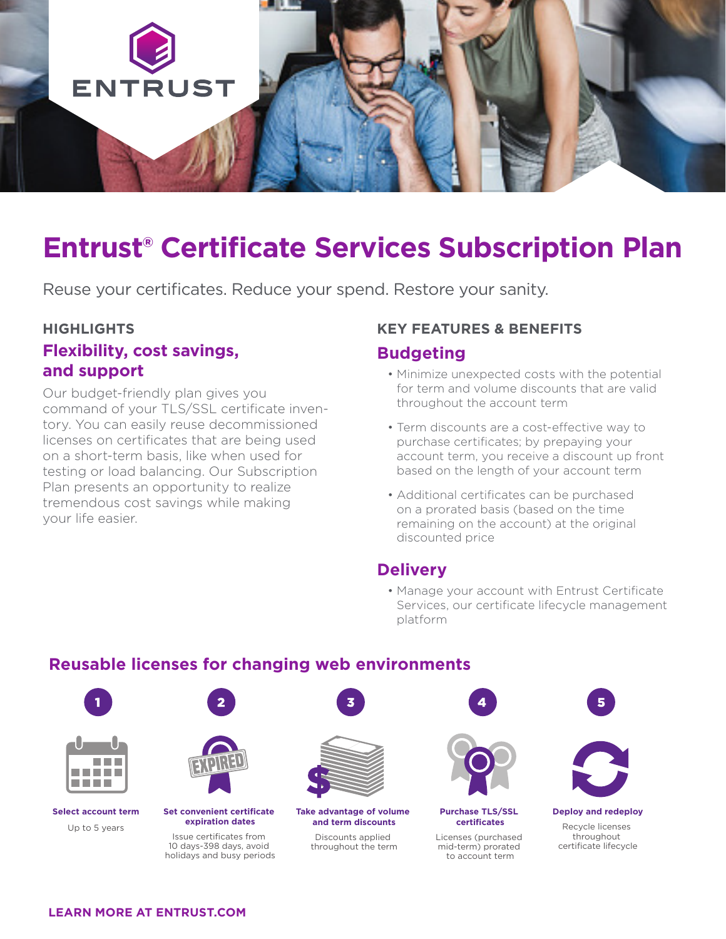

## **Entrust® Certificate Services Subscription Plan**

Reuse your certificates. Reduce your spend. Restore your sanity.

#### **HIGHLIGHTS**

## **Flexibility, cost savings, and support**

Our budget-friendly plan gives you command of your TLS/SSL certificate inventory. You can easily reuse decommissioned licenses on certificates that are being used on a short-term basis, like when used for testing or load balancing. Our Subscription Plan presents an opportunity to realize tremendous cost savings while making your life easier.

#### **KEY FEATURES & BENEFITS**

## **Budgeting**

- Minimize unexpected costs with the potential for term and volume discounts that are valid throughout the account term
- Term discounts are a cost-effective way to purchase certificates; by prepaying your account term, you receive a discount up front based on the length of your account term
- Additional certificates can be purchased on a prorated basis (based on the time remaining on the account) at the original discounted price

## **Delivery**

• Manage your account with Entrust Certificate Services, our certificate lifecycle management platform

## **Reusable licenses for changing web environments**



#### **LEARN MORE AT [ENTRUST.COM](http://entrust.com)**